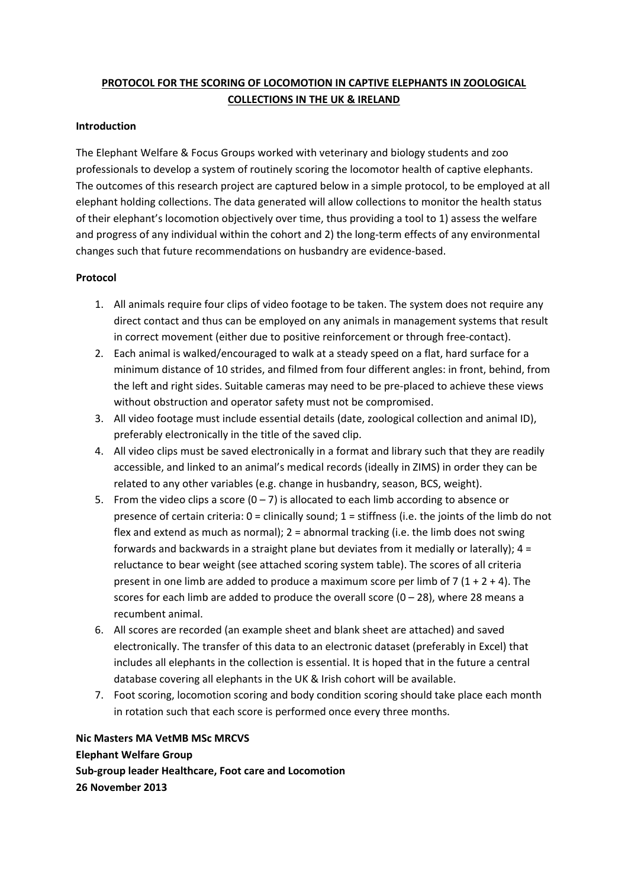## **PROTOCOL FOR THE SCORING OF LOCOMOTION IN CAPTIVE ELEPHANTS IN ZOOLOGICAL COLLECTIONS IN THE UK & IRELAND**

#### **Introduction**

The Elephant Welfare & Focus Groups worked with veterinary and biology students and zoo professionals to develop a system of routinely scoring the locomotor health of captive elephants. The outcomes of this research project are captured below in a simple protocol, to be employed at all elephant holding collections. The data generated will allow collections to monitor the health status of their elephant's locomotion objectively over time, thus providing a tool to 1) assess the welfare and progress of any individual within the cohort and 2) the long-term effects of any environmental changes such that future recommendations on husbandry are evidence‐based.

#### **Protocol**

- 1. All animals require four clips of video footage to be taken. The system does not require any direct contact and thus can be employed on any animals in management systems that result in correct movement (either due to positive reinforcement or through free‐contact).
- 2. Each animal is walked/encouraged to walk at a steady speed on a flat, hard surface for a minimum distance of 10 strides, and filmed from four different angles: in front, behind, from the left and right sides. Suitable cameras may need to be pre‐placed to achieve these views without obstruction and operator safety must not be compromised.
- 3. All video footage must include essential details (date, zoological collection and animal ID), preferably electronically in the title of the saved clip.
- 4. All video clips must be saved electronically in a format and library such that they are readily accessible, and linked to an animal's medical records (ideally in ZIMS) in order they can be related to any other variables (e.g. change in husbandry, season, BCS, weight).
- 5. From the video clips a score  $(0 7)$  is allocated to each limb according to absence or presence of certain criteria: 0 = clinically sound; 1 = stiffness (i.e. the joints of the limb do not flex and extend as much as normal); 2 = abnormal tracking (i.e. the limb does not swing forwards and backwards in a straight plane but deviates from it medially or laterally);  $4 =$ reluctance to bear weight (see attached scoring system table). The scores of all criteria present in one limb are added to produce a maximum score per limb of 7 ( $1 + 2 + 4$ ). The scores for each limb are added to produce the overall score  $(0 - 28)$ , where 28 means a recumbent animal.
- 6. All scores are recorded (an example sheet and blank sheet are attached) and saved electronically. The transfer of this data to an electronic dataset (preferably in Excel) that includes all elephants in the collection is essential. It is hoped that in the future a central database covering all elephants in the UK & Irish cohort will be available.
- 7. Foot scoring, locomotion scoring and body condition scoring should take place each month in rotation such that each score is performed once every three months.

**Nic Masters MA VetMB MSc MRCVS Elephant Welfare Group Sub‐group leader Healthcare, Foot care and Locomotion 26 November 2013**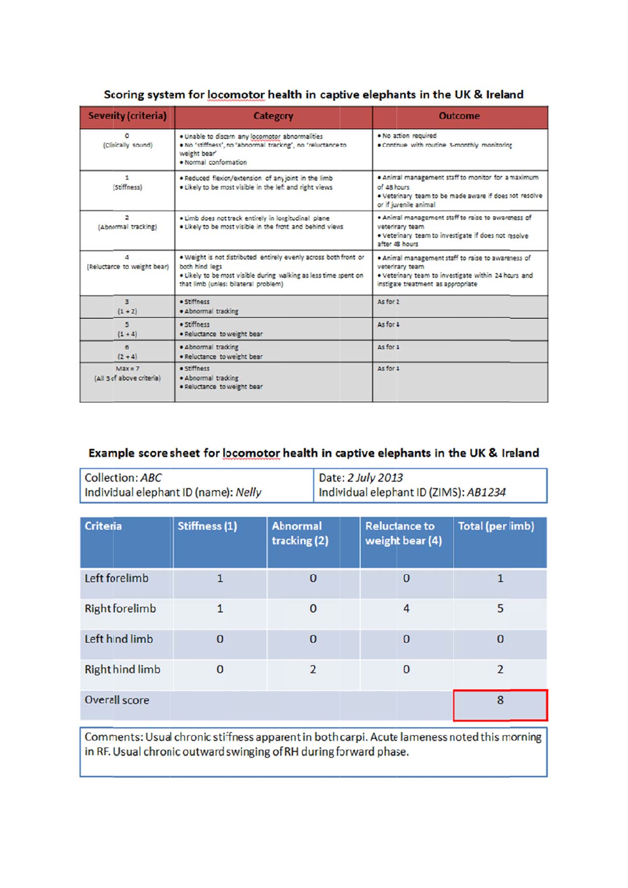| <b>Severity (criteria)</b>                                                                                  | Category                                                                                                                                                                                       | <b>Outcome</b>                                                                                                                                                     |  |  |
|-------------------------------------------------------------------------------------------------------------|------------------------------------------------------------------------------------------------------------------------------------------------------------------------------------------------|--------------------------------------------------------------------------------------------------------------------------------------------------------------------|--|--|
| $\Omega$<br>(Clinically sound)                                                                              | . Unable to discern any locomotor abnormalities<br>. No 'stiffness', no 'abnormal tracking', no 'reluctance to<br>weight bear'<br>· Normal conformation                                        | . No action required<br>. Continue with routine 3-monthly monitoring                                                                                               |  |  |
| $\mathbf{1}$<br>(Stiffness)                                                                                 | . Reduced flexion/extension of any joint in the limb<br>. Likely to be most visible in the left and right views                                                                                | . Animal management staff to monitor for a maximum<br>of 48 hours<br>. Veteinary team to be made aware if does not resolve<br>or if juvenile animal                |  |  |
| $\overline{2}$<br>(Abnormal tracking)                                                                       | · Limb does not track entirely in longitudinal plane<br>. Likely to be most visible in the front and behind views                                                                              | . Animal management staff to raise to awareness of<br>veterirary team<br>. Veterinary team to investigate if does not resolve<br>after 48 hours                    |  |  |
| 4<br>(Reluctance to weight bear)                                                                            | . Weight is not distributed entirely evenly across both front or<br>both hind legs<br>. Likely to be most visible during walking as less time spent on<br>that limb (unless bilateral problem) | . Animal management staff to raise to awareness of<br>veterirary team<br>. Veteinary team to investigate within 24 hours and<br>instigate treatment as appropriate |  |  |
| 3<br>$(1 + 2)$                                                                                              | · Stiffness<br>· Abnormal tracking                                                                                                                                                             | As for 2                                                                                                                                                           |  |  |
| $\overline{\phantom{a}}$<br>$(1 + 4)$                                                                       | · Stiffness<br>· Reluctance to weight bear                                                                                                                                                     | As for 4                                                                                                                                                           |  |  |
| 6<br>$(2 + 4)$                                                                                              | · Abnormal tracking<br>· Reluctance to weight bear                                                                                                                                             | As for 4                                                                                                                                                           |  |  |
| · Stiffness<br>$Max = 7$<br>(All 3 of above criteria)<br>· Abnormal tracking<br>. Reluctance to weight bear |                                                                                                                                                                                                | As for 4                                                                                                                                                           |  |  |

## Scoring system for locomotor health in captive elephants in the UK & Ireland

## Example score sheet for locomotor health in captive elephants in the UK & Ireland

| Collection: ABC                      | Date: 2 July 2013                     |
|--------------------------------------|---------------------------------------|
| Individual elephant ID (name): Nelly | Individual elephant ID (ZIMS): AB1234 |

| <b>Criteria</b>        | Stiffness (1)  | <b>Abnormal</b><br>tracking (2) | <b>Reluctance to</b><br>weight bear (4) | <b>Total (per limb)</b> |
|------------------------|----------------|---------------------------------|-----------------------------------------|-------------------------|
| Left forelimb          | $\overline{1}$ | $\bf{0}$                        | 0                                       |                         |
| <b>Right forelimb</b>  |                | $\mathbf 0$                     | 4                                       | 5                       |
| Left hind limb         | $\bf{0}$       | $\bf{0}$                        | $\bf{0}$                                | $\mathbf 0$             |
| <b>Right hind limb</b> | 0              | $\overline{2}$                  | 0                                       | $\overline{2}$          |
| Overall score          |                |                                 |                                         | 8                       |

Comments: Usual chronic stiffness apparent in both carpi. Acute lameness noted this morning in RF. Usual chronic outward swinging of RH during forward phase.